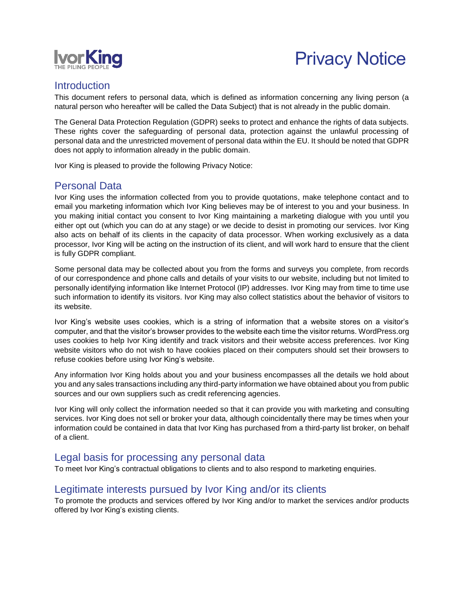

# Privacy Notice

#### **Introduction**

This document refers to personal data, which is defined as information concerning any living person (a natural person who hereafter will be called the Data Subject) that is not already in the public domain.

The General Data Protection Regulation (GDPR) seeks to protect and enhance the rights of data subjects. These rights cover the safeguarding of personal data, protection against the unlawful processing of personal data and the unrestricted movement of personal data within the EU. It should be noted that GDPR does not apply to information already in the public domain.

Ivor King is pleased to provide the following Privacy Notice:

#### Personal Data

Ivor King uses the information collected from you to provide quotations, make telephone contact and to email you marketing information which Ivor King believes may be of interest to you and your business. In you making initial contact you consent to Ivor King maintaining a marketing dialogue with you until you either opt out (which you can do at any stage) or we decide to desist in promoting our services. Ivor King also acts on behalf of its clients in the capacity of data processor. When working exclusively as a data processor, Ivor King will be acting on the instruction of its client, and will work hard to ensure that the client is fully GDPR compliant.

Some personal data may be collected about you from the forms and surveys you complete, from records of our correspondence and phone calls and details of your visits to our website, including but not limited to personally identifying information like Internet Protocol (IP) addresses. Ivor King may from time to time use such information to identify its visitors. Ivor King may also collect statistics about the behavior of visitors to its website.

Ivor King's website uses cookies, which is a string of information that a website stores on a visitor's computer, and that the visitor's browser provides to the website each time the visitor returns. WordPress.org uses cookies to help Ivor King identify and track visitors and their website access preferences. Ivor King website visitors who do not wish to have cookies placed on their computers should set their browsers to refuse cookies before using Ivor King's website.

Any information Ivor King holds about you and your business encompasses all the details we hold about you and any sales transactions including any third-party information we have obtained about you from public sources and our own suppliers such as credit referencing agencies.

Ivor King will only collect the information needed so that it can provide you with marketing and consulting services. Ivor King does not sell or broker your data, although coincidentally there may be times when your information could be contained in data that Ivor King has purchased from a third-party list broker, on behalf of a client.

#### Legal basis for processing any personal data

To meet Ivor King's contractual obligations to clients and to also respond to marketing enquiries.

#### Legitimate interests pursued by Ivor King and/or its clients

To promote the products and services offered by Ivor King and/or to market the services and/or products offered by Ivor King's existing clients.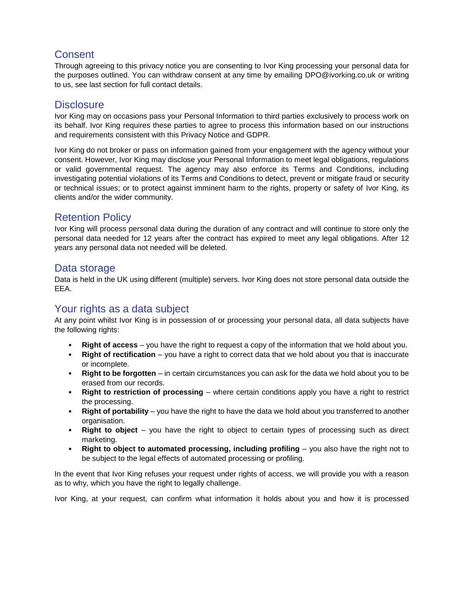## **Consent**

Through agreeing to this privacy notice you are consenting to Ivor King processing your personal data for the purposes outlined. You can withdraw consent at any time by emailing DPO@ivorking.co.uk or writing to us, see last section for full contact details.

#### **Disclosure**

Ivor King may on occasions pass your Personal Information to third parties exclusively to process work on its behalf. Ivor King requires these parties to agree to process this information based on our instructions and requirements consistent with this Privacy Notice and GDPR.

Ivor King do not broker or pass on information gained from your engagement with the agency without your consent. However, Ivor King may disclose your Personal Information to meet legal obligations, regulations or valid governmental request. The agency may also enforce its Terms and Conditions, including investigating potential violations of its Terms and Conditions to detect, prevent or mitigate fraud or security or technical issues; or to protect against imminent harm to the rights, property or safety of Ivor King, its clients and/or the wider community.

# Retention Policy

Ivor King will process personal data during the duration of any contract and will continue to store only the personal data needed for 12 years after the contract has expired to meet any legal obligations. After 12 years any personal data not needed will be deleted.

#### Data storage

Data is held in the UK using different (multiple) servers. Ivor King does not store personal data outside the EEA.

## Your rights as a data subject

At any point whilst Ivor King is in possession of or processing your personal data, all data subjects have the following rights:

- **Right of access** you have the right to request a copy of the information that we hold about you.
- **Right of rectification** you have a right to correct data that we hold about you that is inaccurate or incomplete.
- **Right to be forgotten** in certain circumstances you can ask for the data we hold about you to be erased from our records.
- **Right to restriction of processing** where certain conditions apply you have a right to restrict the processing.
- **Right of portability** you have the right to have the data we hold about you transferred to another organisation.
- **Right to object** you have the right to object to certain types of processing such as direct marketing.
- **Right to object to automated processing, including profiling** you also have the right not to be subject to the legal effects of automated processing or profiling.

In the event that Ivor King refuses your request under rights of access, we will provide you with a reason as to why, which you have the right to legally challenge.

Ivor King, at your request, can confirm what information it holds about you and how it is processed